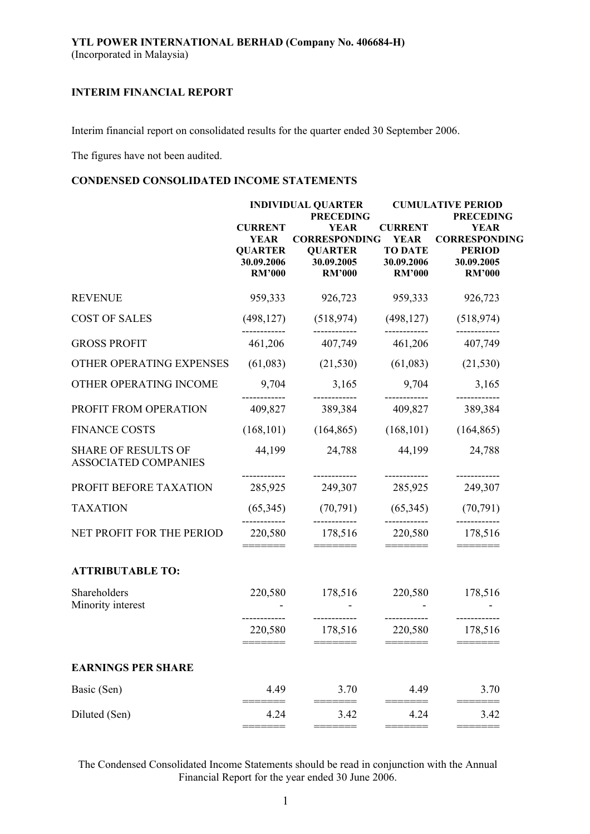Interim financial report on consolidated results for the quarter ended 30 September 2006.

The figures have not been audited.

## **CONDENSED CONSOLIDATED INCOME STATEMENTS**

|                                                           |                                                                                | <b>INDIVIDUAL QUARTER</b><br><b>PRECEDING</b>                                        |                                                                                | <b>CUMULATIVE PERIOD</b><br><b>PRECEDING</b>                                        |  |  |
|-----------------------------------------------------------|--------------------------------------------------------------------------------|--------------------------------------------------------------------------------------|--------------------------------------------------------------------------------|-------------------------------------------------------------------------------------|--|--|
|                                                           | <b>CURRENT</b><br><b>YEAR</b><br><b>QUARTER</b><br>30.09.2006<br><b>RM'000</b> | <b>YEAR</b><br><b>CORRESPONDING</b><br><b>QUARTER</b><br>30.09.2005<br><b>RM'000</b> | <b>CURRENT</b><br><b>YEAR</b><br><b>TO DATE</b><br>30.09.2006<br><b>RM'000</b> | <b>YEAR</b><br><b>CORRESPONDING</b><br><b>PERIOD</b><br>30.09.2005<br><b>RM'000</b> |  |  |
| <b>REVENUE</b>                                            | 959,333                                                                        | 926,723                                                                              | 959,333                                                                        | 926,723                                                                             |  |  |
| <b>COST OF SALES</b>                                      | (498, 127)                                                                     | (518, 974)                                                                           | (498, 127)                                                                     | (518, 974)                                                                          |  |  |
| <b>GROSS PROFIT</b>                                       | 461,206                                                                        | 407,749                                                                              | 461,206                                                                        | 407,749                                                                             |  |  |
| OTHER OPERATING EXPENSES                                  | (61,083)                                                                       | (21, 530)                                                                            | (61,083)                                                                       | (21, 530)                                                                           |  |  |
| OTHER OPERATING INCOME                                    | 9,704                                                                          | 3,165                                                                                | 9,704                                                                          | 3,165                                                                               |  |  |
| PROFIT FROM OPERATION                                     | 409,827                                                                        | 389,384                                                                              | 409,827                                                                        | 389,384                                                                             |  |  |
| <b>FINANCE COSTS</b>                                      | (168, 101)                                                                     | (164, 865)                                                                           | (168, 101)                                                                     | (164, 865)                                                                          |  |  |
| <b>SHARE OF RESULTS OF</b><br><b>ASSOCIATED COMPANIES</b> | 44,199                                                                         | 24,788                                                                               | 44,199                                                                         | 24,788                                                                              |  |  |
| PROFIT BEFORE TAXATION                                    | 285,925                                                                        | 249,307                                                                              | 285,925                                                                        | 249,307                                                                             |  |  |
| <b>TAXATION</b>                                           | (65,345)                                                                       | (70, 791)                                                                            | (65,345)                                                                       | (70, 791)                                                                           |  |  |
| NET PROFIT FOR THE PERIOD                                 | 220,580                                                                        | 178,516                                                                              | 220,580                                                                        | 178,516                                                                             |  |  |
| <b>ATTRIBUTABLE TO:</b>                                   |                                                                                |                                                                                      |                                                                                |                                                                                     |  |  |
| Shareholders<br>Minority interest                         | 220,580                                                                        | 178,516                                                                              | 220,580                                                                        | 178,516                                                                             |  |  |
|                                                           | 220,580                                                                        | ------------<br>178,516<br>=======                                                   | 220,580<br>=======                                                             | ----------<br>178,516                                                               |  |  |
| <b>EARNINGS PER SHARE</b>                                 |                                                                                |                                                                                      |                                                                                |                                                                                     |  |  |
| Basic (Sen)                                               | 4.49                                                                           | 3.70                                                                                 | 4.49                                                                           | 3.70                                                                                |  |  |
| Diluted (Sen)                                             | 4.24                                                                           | 3.42<br>====                                                                         | 4.24                                                                           | 3.42<br>====                                                                        |  |  |

The Condensed Consolidated Income Statements should be read in conjunction with the Annual Financial Report for the year ended 30 June 2006.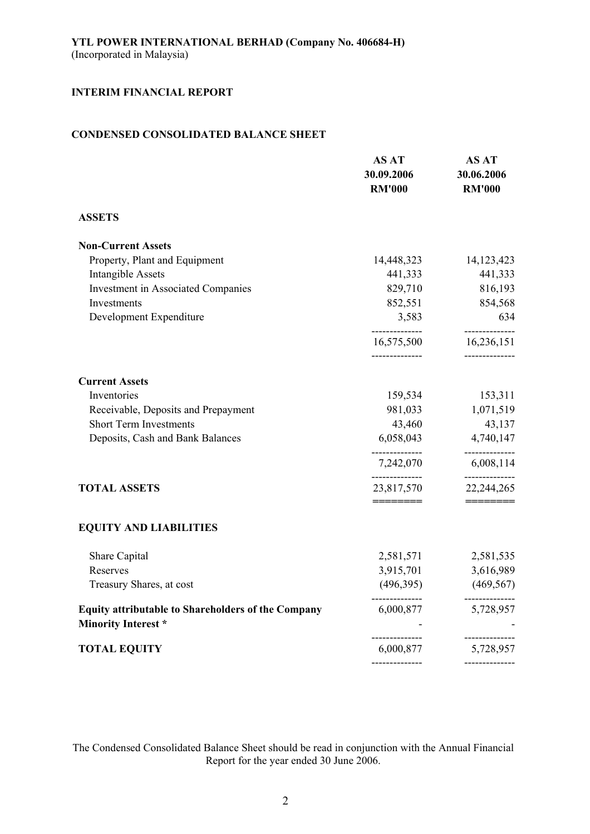## **CONDENSED CONSOLIDATED BALANCE SHEET**

|                                                                                  | <b>AS AT</b><br>30.09.2006<br><b>RM'000</b> | <b>AS AT</b><br>30.06.2006<br><b>RM'000</b> |
|----------------------------------------------------------------------------------|---------------------------------------------|---------------------------------------------|
| <b>ASSETS</b>                                                                    |                                             |                                             |
| <b>Non-Current Assets</b>                                                        |                                             |                                             |
| Property, Plant and Equipment                                                    | 14,448,323                                  | 14, 123, 423                                |
| <b>Intangible Assets</b>                                                         | 441,333                                     | 441,333                                     |
| <b>Investment in Associated Companies</b>                                        | 829,710                                     | 816,193                                     |
| Investments                                                                      | 852,551                                     | 854,568                                     |
| Development Expenditure                                                          | 3,583<br>--------------                     | 634<br>--------------                       |
|                                                                                  | 16,575,500<br>--------------                | 16,236,151<br>--------------                |
| <b>Current Assets</b>                                                            |                                             |                                             |
| Inventories                                                                      | 159,534                                     | 153,311                                     |
| Receivable, Deposits and Prepayment                                              | 981,033                                     | 1,071,519                                   |
| <b>Short Term Investments</b>                                                    | 43,460                                      | 43,137                                      |
| Deposits, Cash and Bank Balances                                                 | 6,058,043                                   | 4,740,147                                   |
|                                                                                  | 7,242,070                                   | --------------<br>6,008,114                 |
| <b>TOTAL ASSETS</b>                                                              | --------------<br>23,817,570<br>========    | 22,244,265                                  |
| <b>EQUITY AND LIABILITIES</b>                                                    |                                             |                                             |
| Share Capital                                                                    | 2,581,571                                   | 2,581,535                                   |
| Reserves                                                                         | 3,915,701                                   | 3,616,989                                   |
| Treasury Shares, at cost                                                         | (496,395)                                   | (469, 567)                                  |
| Equity attributable to Shareholders of the Company<br><b>Minority Interest</b> * | --------------<br>6,000,877                 | --------------<br>5,728,957                 |
| <b>TOTAL EQUITY</b>                                                              | --------------<br>6,000,877                 | ------------<br>5,728,957                   |
|                                                                                  |                                             |                                             |

The Condensed Consolidated Balance Sheet should be read in conjunction with the Annual Financial Report for the year ended 30 June 2006.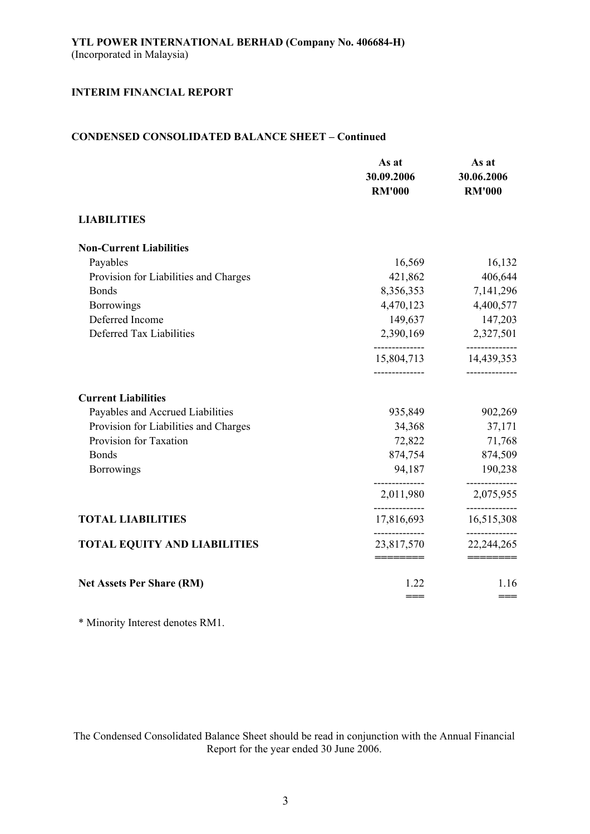## **CONDENSED CONSOLIDATED BALANCE SHEET – Continued**

|                                       | As at<br>30.09.2006<br><b>RM'000</b> | As at<br>30.06.2006<br><b>RM'000</b> |
|---------------------------------------|--------------------------------------|--------------------------------------|
| <b>LIABILITIES</b>                    |                                      |                                      |
| <b>Non-Current Liabilities</b>        |                                      |                                      |
| Payables                              | 16,569                               | 16,132                               |
| Provision for Liabilities and Charges | 421,862                              | 406,644                              |
| <b>Bonds</b>                          | 8,356,353                            | 7,141,296                            |
| <b>Borrowings</b>                     | 4,470,123                            | 4,400,577                            |
| Deferred Income                       | 149,637                              | 147,203                              |
| Deferred Tax Liabilities              | 2,390,169                            | 2,327,501                            |
|                                       | --------------<br>15,804,713         | --------------<br>14,439,353         |
| <b>Current Liabilities</b>            |                                      |                                      |
| Payables and Accrued Liabilities      | 935,849                              | 902,269                              |
| Provision for Liabilities and Charges | 34,368                               | 37,171                               |
| Provision for Taxation                | 72,822                               | 71,768                               |
| <b>Bonds</b>                          | 874,754                              | 874,509                              |
| <b>Borrowings</b>                     | 94,187                               | 190,238                              |
|                                       | 2,011,980                            | 2,075,955                            |
| <b>TOTAL LIABILITIES</b>              | 17,816,693                           | 16,515,308                           |
| <b>TOTAL EQUITY AND LIABILITIES</b>   | 23,817,570                           | 22, 244, 265                         |
|                                       | ========                             | ========                             |
| <b>Net Assets Per Share (RM)</b>      | 1.22                                 | 1.16                                 |
|                                       | $==$                                 | $==$                                 |

\* Minority Interest denotes RM1.

The Condensed Consolidated Balance Sheet should be read in conjunction with the Annual Financial Report for the year ended 30 June 2006.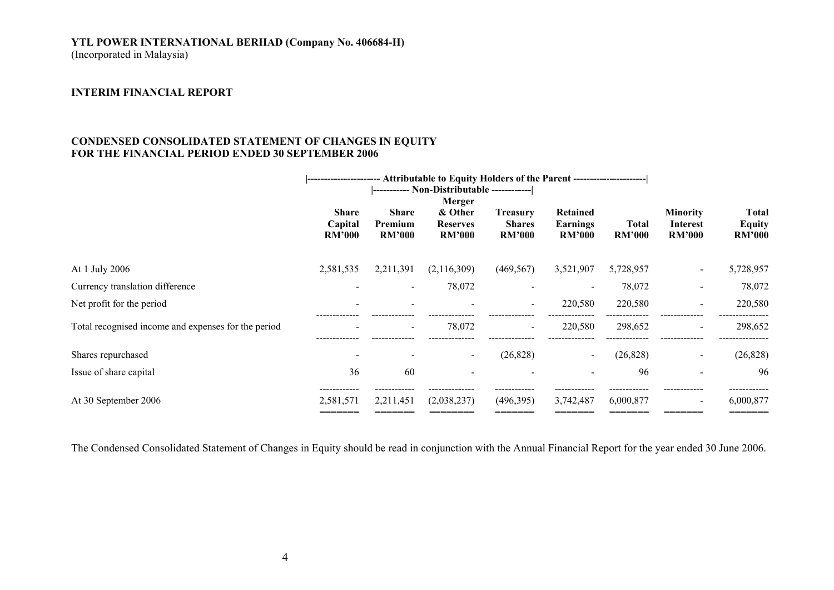# **YTL POWER INTERNATIONAL BERHAD (Company No. 406684-H)**

(Incorporated in Malaysia)

#### **INTERIM FINANCIAL REPORT**

## **CONDENSED CONSOLIDATED STATEMENT OF CHANGES IN EQUITY FOR THE FINANCIAL PERIOD ENDED 30 SEPTEMBER 2006**

|                                                     | -- Attributable to Equity Holders of the Parent -----------------------<br> ------------------ |                                          |                                                       |                                                   |                                              |                        |                                                     |                                                |
|-----------------------------------------------------|------------------------------------------------------------------------------------------------|------------------------------------------|-------------------------------------------------------|---------------------------------------------------|----------------------------------------------|------------------------|-----------------------------------------------------|------------------------------------------------|
|                                                     | <b>Share</b><br>Capital<br><b>RM'000</b>                                                       | <b>Share</b><br>Premium<br><b>RM'000</b> | Merger<br>& Other<br><b>Reserves</b><br><b>RM'000</b> | <b>Treasury</b><br><b>Shares</b><br><b>RM'000</b> | Retained<br><b>Earnings</b><br><b>RM'000</b> | Total<br><b>RM'000</b> | <b>Minority</b><br><b>Interest</b><br><b>RM'000</b> | <b>Total</b><br><b>Equity</b><br><b>RM'000</b> |
| At 1 July 2006                                      | 2,581,535                                                                                      | 2,211,391                                | (2,116,309)                                           | (469, 567)                                        | 3,521,907                                    | 5,728,957              | $\sim$                                              | 5,728,957                                      |
| Currency translation difference                     |                                                                                                | $\overline{\phantom{a}}$                 | 78,072                                                |                                                   |                                              | 78,072                 | $\overline{\phantom{a}}$                            | 78,072                                         |
| Net profit for the period                           |                                                                                                |                                          |                                                       | $\qquad \qquad$                                   | 220,580                                      | 220,580                |                                                     | 220,580                                        |
| Total recognised income and expenses for the period |                                                                                                |                                          | 78,072                                                | $\overline{\phantom{0}}$                          | 220,580                                      | 298,652                | $\overline{\phantom{a}}$                            | 298,652                                        |
| Shares repurchased                                  |                                                                                                |                                          |                                                       | (26, 828)                                         |                                              | (26, 828)              | $\blacksquare$                                      | (26, 828)                                      |
| Issue of share capital                              | 36                                                                                             | 60                                       |                                                       |                                                   |                                              | 96                     |                                                     | -96                                            |
| At 30 September 2006                                | 2,581,571                                                                                      | 2,211,451                                | (2,038,237)                                           | (496,395)                                         | 3,742,487                                    | 6,000,877              | $\overline{\phantom{a}}$                            | 6,000,877                                      |

The Condensed Consolidated Statement of Changes in Equity should be read in conjunction with the Annual Financial Report for the year ended 30 June 2006.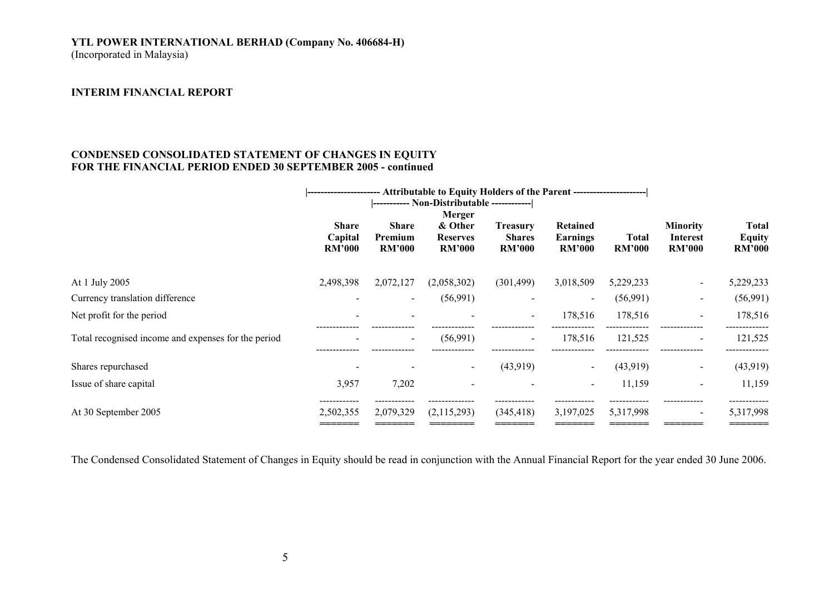### **YTL POWER INTERNATIONAL BERHAD (Company No. 406684-H)**  (Incorporated in Malaysia)

#### **INTERIM FINANCIAL REPORT**

### **CONDENSED CONSOLIDATED STATEMENT OF CHANGES IN EQUITY FOR THE FINANCIAL PERIOD ENDED 30 SEPTEMBER 2005 - continued**

|                                                     | -- Attributable to Equity Holders of the Parent -----------------------<br>-------------------- |                                          |                                                       |                                                   |                                              |                        |                                              |                                         |
|-----------------------------------------------------|-------------------------------------------------------------------------------------------------|------------------------------------------|-------------------------------------------------------|---------------------------------------------------|----------------------------------------------|------------------------|----------------------------------------------|-----------------------------------------|
|                                                     | <b>Share</b><br>Capital<br><b>RM'000</b>                                                        | <b>Share</b><br>Premium<br><b>RM'000</b> | Merger<br>& Other<br><b>Reserves</b><br><b>RM'000</b> | <b>Treasury</b><br><b>Shares</b><br><b>RM'000</b> | Retained<br><b>Earnings</b><br><b>RM'000</b> | Total<br><b>RM'000</b> | <b>Minority</b><br>Interest<br><b>RM'000</b> | Total<br><b>Equity</b><br><b>RM'000</b> |
| At 1 July 2005                                      | 2,498,398                                                                                       | 2,072,127                                | (2,058,302)                                           | (301, 499)                                        | 3,018,509                                    | 5,229,233              | $\sim$                                       | 5,229,233                               |
| Currency translation difference                     |                                                                                                 | $\sim$                                   | (56,991)                                              | $\overline{\phantom{a}}$                          | $\sim$                                       | (56,991)               | $\blacksquare$                               | (56,991)                                |
| Net profit for the period                           |                                                                                                 |                                          |                                                       | $\blacksquare$                                    | 178,516                                      | 178,516                | $\sim$                                       | 178,516                                 |
| Total recognised income and expenses for the period |                                                                                                 | $\overline{\phantom{a}}$                 | (56,991)                                              | $\overline{\phantom{a}}$                          | 178,516                                      | 121,525                | $\qquad \qquad \blacksquare$                 | 121,525                                 |
| Shares repurchased                                  |                                                                                                 |                                          |                                                       | (43,919)                                          |                                              | (43,919)               | $\blacksquare$                               | (43,919)                                |
| Issue of share capital                              | 3,957                                                                                           | 7,202                                    |                                                       |                                                   |                                              | 11,159                 | $\overline{\phantom{a}}$                     | 11,159                                  |
| At 30 September 2005                                | -----------<br>2,502,355                                                                        | 2,079,329                                | (2,115,293)                                           | (345, 418)                                        | 3,197,025                                    | 5,317,998              | $\overline{\phantom{a}}$                     | 5,317,998                               |

The Condensed Consolidated Statement of Changes in Equity should be read in conjunction with the Annual Financial Report for the year ended 30 June 2006.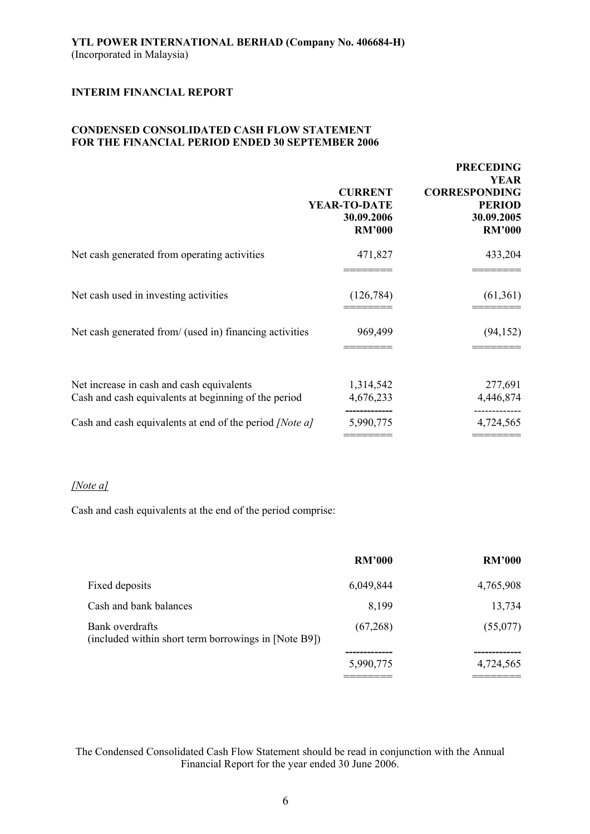## **CONDENSED CONSOLIDATED CASH FLOW STATEMENT FOR THE FINANCIAL PERIOD ENDED 30 SEPTEMBER 2006**

|                                                                                                   | <b>CURRENT</b><br>YEAR-TO-DATE<br>30.09.2006<br><b>RM'000</b> | <b>PRECEDING</b><br><b>YEAR</b><br><b>CORRESPONDING</b><br><b>PERIOD</b><br>30.09.2005<br><b>RM'000</b> |
|---------------------------------------------------------------------------------------------------|---------------------------------------------------------------|---------------------------------------------------------------------------------------------------------|
| Net cash generated from operating activities                                                      | 471,827                                                       | 433,204                                                                                                 |
| Net cash used in investing activities                                                             | (126, 784)                                                    | (61,361)                                                                                                |
| Net cash generated from/ (used in) financing activities                                           | 969,499                                                       | (94, 152)                                                                                               |
| Net increase in cash and cash equivalents<br>Cash and cash equivalents at beginning of the period | 1,314,542<br>4,676,233                                        | 277,691<br>4,446,874                                                                                    |
| Cash and cash equivalents at end of the period <i>[Note a]</i>                                    | 5,990,775                                                     | 4,724,565                                                                                               |
|                                                                                                   |                                                               |                                                                                                         |

## *[Note a]*

Cash and cash equivalents at the end of the period comprise:

|                                                                         | <b>RM'000</b> | <b>RM'000</b> |
|-------------------------------------------------------------------------|---------------|---------------|
| Fixed deposits                                                          | 6,049,844     | 4,765,908     |
| Cash and bank balances                                                  | 8,199         | 13,734        |
| Bank overdrafts<br>(included within short term borrowings in [Note B9]) | (67,268)      | (55,077)      |
|                                                                         |               |               |
|                                                                         | 5,990,775     | 4,724,565     |
|                                                                         |               |               |

The Condensed Consolidated Cash Flow Statement should be read in conjunction with the Annual Financial Report for the year ended 30 June 2006.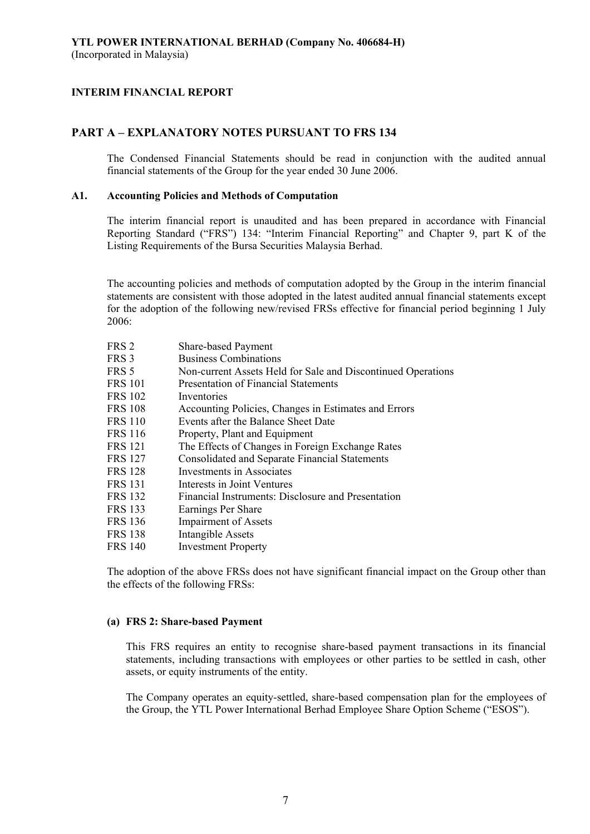## **PART A – EXPLANATORY NOTES PURSUANT TO FRS 134**

The Condensed Financial Statements should be read in conjunction with the audited annual financial statements of the Group for the year ended 30 June 2006.

### **A1. Accounting Policies and Methods of Computation**

The interim financial report is unaudited and has been prepared in accordance with Financial Reporting Standard ("FRS") 134: "Interim Financial Reporting" and Chapter 9, part K of the Listing Requirements of the Bursa Securities Malaysia Berhad.

The accounting policies and methods of computation adopted by the Group in the interim financial statements are consistent with those adopted in the latest audited annual financial statements except for the adoption of the following new/revised FRSs effective for financial period beginning 1 July 2006:

| FRS <sub>2</sub> | <b>Share-based Payment</b>                                   |
|------------------|--------------------------------------------------------------|
| FRS 3            | <b>Business Combinations</b>                                 |
| FRS 5            | Non-current Assets Held for Sale and Discontinued Operations |
| <b>FRS 101</b>   | Presentation of Financial Statements                         |
| <b>FRS 102</b>   | Inventories                                                  |
| <b>FRS 108</b>   | Accounting Policies, Changes in Estimates and Errors         |
| <b>FRS 110</b>   | Events after the Balance Sheet Date                          |
| <b>FRS 116</b>   | Property, Plant and Equipment                                |
| <b>FRS 121</b>   | The Effects of Changes in Foreign Exchange Rates             |
| <b>FRS 127</b>   | <b>Consolidated and Separate Financial Statements</b>        |
| <b>FRS 128</b>   | Investments in Associates                                    |
| <b>FRS 131</b>   | Interests in Joint Ventures                                  |
| <b>FRS 132</b>   | Financial Instruments: Disclosure and Presentation           |
| <b>FRS 133</b>   | Earnings Per Share                                           |
| <b>FRS 136</b>   | <b>Impairment of Assets</b>                                  |
| <b>FRS 138</b>   | Intangible Assets                                            |
| <b>FRS 140</b>   | <b>Investment Property</b>                                   |

The adoption of the above FRSs does not have significant financial impact on the Group other than the effects of the following FRSs:

#### **(a) FRS 2: Share-based Payment**

This FRS requires an entity to recognise share-based payment transactions in its financial statements, including transactions with employees or other parties to be settled in cash, other assets, or equity instruments of the entity.

The Company operates an equity-settled, share-based compensation plan for the employees of the Group, the YTL Power International Berhad Employee Share Option Scheme ("ESOS").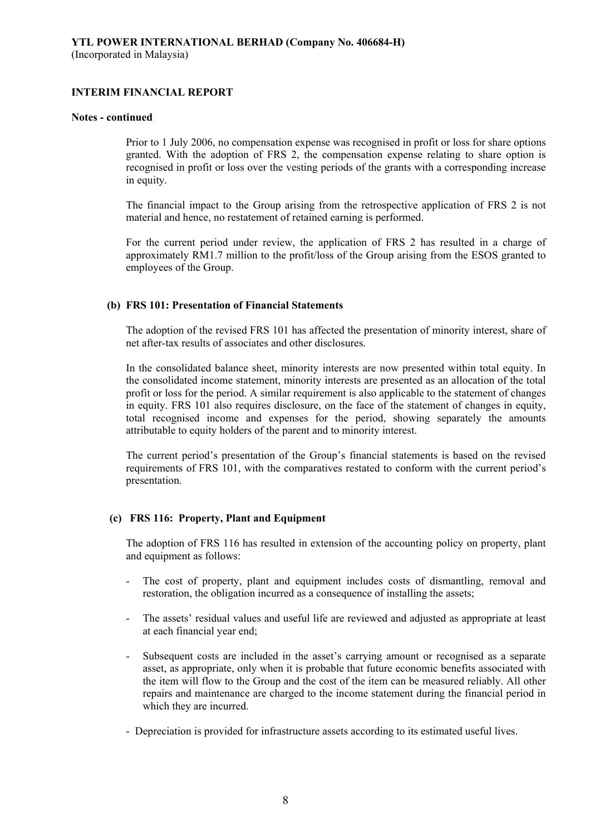#### **Notes - continued**

Prior to 1 July 2006, no compensation expense was recognised in profit or loss for share options granted. With the adoption of FRS 2, the compensation expense relating to share option is recognised in profit or loss over the vesting periods of the grants with a corresponding increase in equity.

The financial impact to the Group arising from the retrospective application of FRS 2 is not material and hence, no restatement of retained earning is performed.

For the current period under review, the application of FRS 2 has resulted in a charge of approximately RM1.7 million to the profit/loss of the Group arising from the ESOS granted to employees of the Group.

### **(b) FRS 101: Presentation of Financial Statements**

The adoption of the revised FRS 101 has affected the presentation of minority interest, share of net after-tax results of associates and other disclosures.

In the consolidated balance sheet, minority interests are now presented within total equity. In the consolidated income statement, minority interests are presented as an allocation of the total profit or loss for the period. A similar requirement is also applicable to the statement of changes in equity. FRS 101 also requires disclosure, on the face of the statement of changes in equity, total recognised income and expenses for the period, showing separately the amounts attributable to equity holders of the parent and to minority interest.

The current period's presentation of the Group's financial statements is based on the revised requirements of FRS 101, with the comparatives restated to conform with the current period's presentation.

## **(c) FRS 116: Property, Plant and Equipment**

The adoption of FRS 116 has resulted in extension of the accounting policy on property, plant and equipment as follows:

- The cost of property, plant and equipment includes costs of dismantling, removal and restoration, the obligation incurred as a consequence of installing the assets;
- The assets' residual values and useful life are reviewed and adjusted as appropriate at least at each financial year end;
- Subsequent costs are included in the asset's carrying amount or recognised as a separate asset, as appropriate, only when it is probable that future economic benefits associated with the item will flow to the Group and the cost of the item can be measured reliably. All other repairs and maintenance are charged to the income statement during the financial period in which they are incurred.
- Depreciation is provided for infrastructure assets according to its estimated useful lives.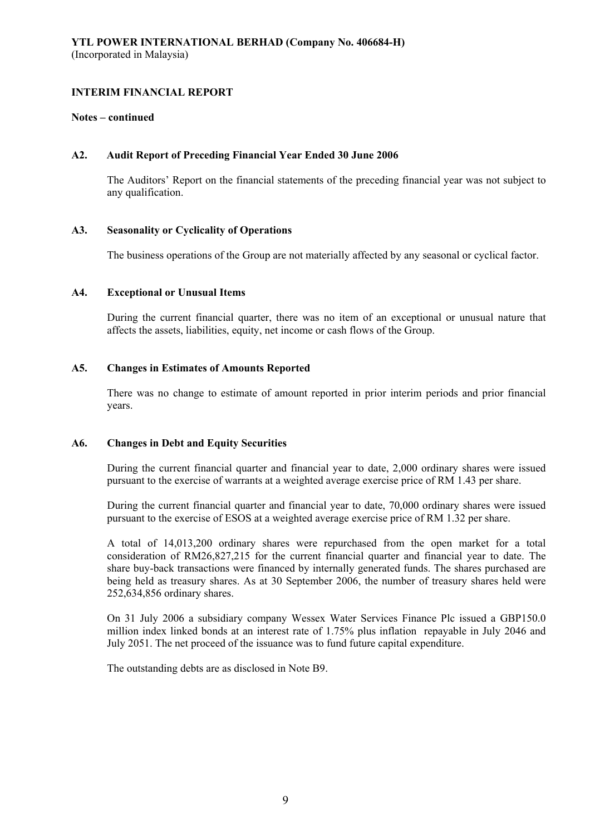#### **Notes – continued**

#### **A2. Audit Report of Preceding Financial Year Ended 30 June 2006**

 The Auditors' Report on the financial statements of the preceding financial year was not subject to any qualification.

#### **A3. Seasonality or Cyclicality of Operations**

The business operations of the Group are not materially affected by any seasonal or cyclical factor.

#### **A4. Exceptional or Unusual Items**

 During the current financial quarter, there was no item of an exceptional or unusual nature that affects the assets, liabilities, equity, net income or cash flows of the Group.

#### **A5. Changes in Estimates of Amounts Reported**

 There was no change to estimate of amount reported in prior interim periods and prior financial years.

#### **A6. Changes in Debt and Equity Securities**

 During the current financial quarter and financial year to date, 2,000 ordinary shares were issued pursuant to the exercise of warrants at a weighted average exercise price of RM 1.43 per share.

 During the current financial quarter and financial year to date, 70,000 ordinary shares were issued pursuant to the exercise of ESOS at a weighted average exercise price of RM 1.32 per share.

 A total of 14,013,200 ordinary shares were repurchased from the open market for a total consideration of RM26,827,215 for the current financial quarter and financial year to date. The share buy-back transactions were financed by internally generated funds. The shares purchased are being held as treasury shares. As at 30 September 2006, the number of treasury shares held were 252,634,856 ordinary shares.

 On 31 July 2006 a subsidiary company Wessex Water Services Finance Plc issued a GBP150.0 million index linked bonds at an interest rate of 1.75% plus inflation repayable in July 2046 and July 2051. The net proceed of the issuance was to fund future capital expenditure.

The outstanding debts are as disclosed in Note B9.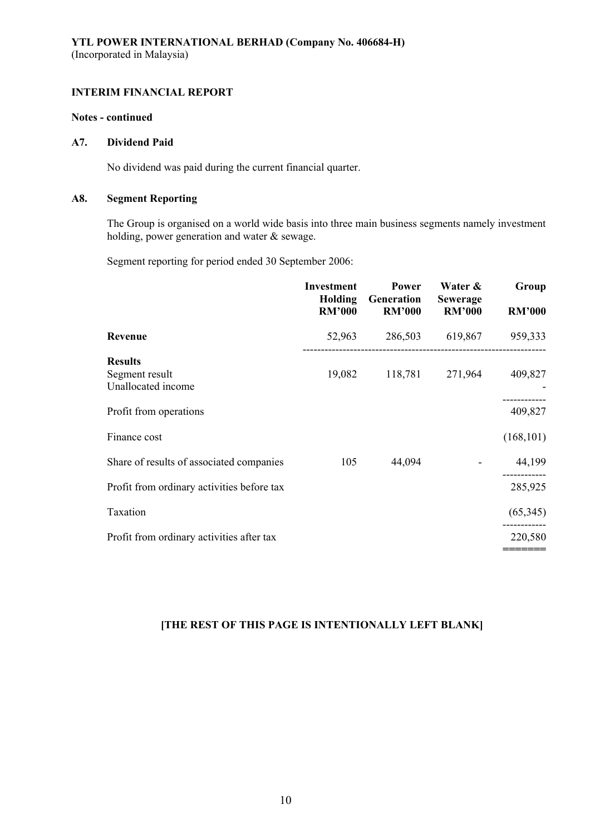## **Notes - continued**

#### **A7. Dividend Paid**

No dividend was paid during the current financial quarter.

#### **A8. Segment Reporting**

 The Group is organised on a world wide basis into three main business segments namely investment holding, power generation and water & sewage.

Segment reporting for period ended 30 September 2006:

|                                                        | <b>Investment</b><br>Holding<br><b>RM'000</b> | Power<br>Generation<br><b>RM'000</b> | Water &<br><b>Sewerage</b><br><b>RM'000</b> | Group<br><b>RM'000</b> |
|--------------------------------------------------------|-----------------------------------------------|--------------------------------------|---------------------------------------------|------------------------|
| Revenue                                                | 52,963                                        | 286,503                              | 619,867                                     | 959,333                |
| <b>Results</b><br>Segment result<br>Unallocated income | 19,082                                        | 118,781                              | 271,964                                     | 409,827                |
| Profit from operations                                 |                                               |                                      |                                             | 409,827                |
| Finance cost                                           |                                               |                                      |                                             | (168, 101)             |
| Share of results of associated companies               | 105                                           | 44,094                               |                                             | 44,199                 |
| Profit from ordinary activities before tax             |                                               |                                      |                                             | 285,925                |
| Taxation                                               |                                               |                                      |                                             | (65,345)               |
| Profit from ordinary activities after tax              |                                               |                                      |                                             | 220,580                |
|                                                        |                                               |                                      |                                             |                        |

# **[THE REST OF THIS PAGE IS INTENTIONALLY LEFT BLANK]**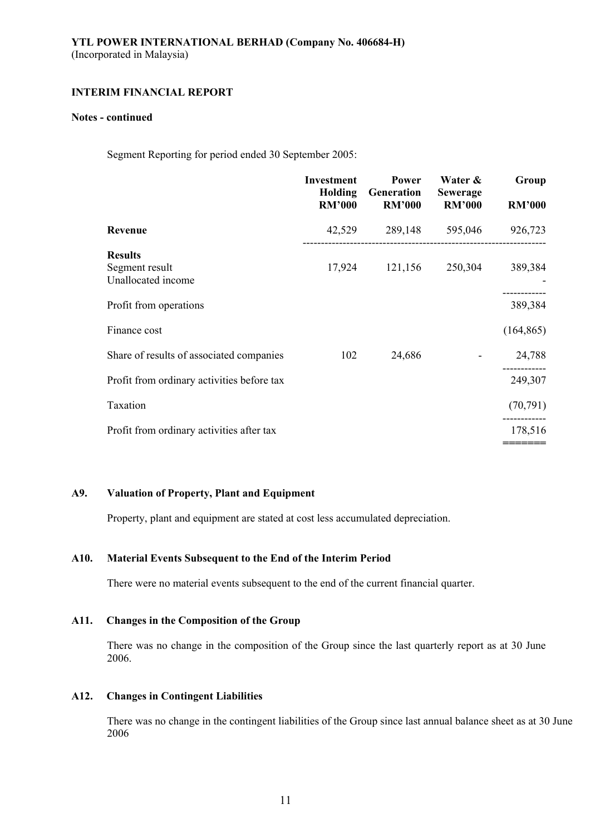#### **Notes - continued**

Segment Reporting for period ended 30 September 2005:

|                                                        | <b>Investment</b><br><b>Holding</b><br><b>RM'000</b> | Power<br>Generation<br><b>RM'000</b> | Water &<br><b>Sewerage</b><br><b>RM'000</b> | Group<br><b>RM'000</b> |
|--------------------------------------------------------|------------------------------------------------------|--------------------------------------|---------------------------------------------|------------------------|
| Revenue                                                | 42,529                                               | 289,148                              | 595,046                                     | 926,723                |
| <b>Results</b><br>Segment result<br>Unallocated income | 17,924                                               | 121,156                              | 250,304                                     | 389,384                |
| Profit from operations                                 |                                                      |                                      |                                             | 389,384                |
| Finance cost                                           |                                                      |                                      |                                             | (164, 865)             |
| Share of results of associated companies               | 102                                                  | 24,686                               |                                             | 24,788                 |
| Profit from ordinary activities before tax             |                                                      |                                      |                                             | 249,307                |
| Taxation                                               |                                                      |                                      |                                             | (70, 791)              |
| Profit from ordinary activities after tax              |                                                      |                                      |                                             | 178,516                |
|                                                        |                                                      |                                      |                                             |                        |

## **A9. Valuation of Property, Plant and Equipment**

Property, plant and equipment are stated at cost less accumulated depreciation.

## **A10. Material Events Subsequent to the End of the Interim Period**

There were no material events subsequent to the end of the current financial quarter.

### **A11. Changes in the Composition of the Group**

There was no change in the composition of the Group since the last quarterly report as at 30 June 2006.

#### **A12. Changes in Contingent Liabilities**

There was no change in the contingent liabilities of the Group since last annual balance sheet as at 30 June 2006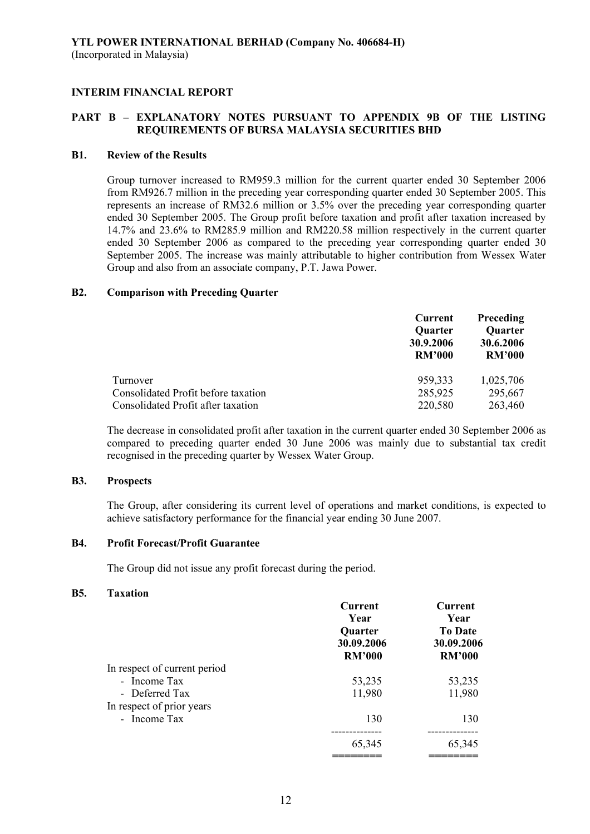## **PART B – EXPLANATORY NOTES PURSUANT TO APPENDIX 9B OF THE LISTING REQUIREMENTS OF BURSA MALAYSIA SECURITIES BHD**

#### **B1. Review of the Results**

 Group turnover increased to RM959.3 million for the current quarter ended 30 September 2006 from RM926.7 million in the preceding year corresponding quarter ended 30 September 2005. This represents an increase of RM32.6 million or 3.5% over the preceding year corresponding quarter ended 30 September 2005. The Group profit before taxation and profit after taxation increased by 14.7% and 23.6% to RM285.9 million and RM220.58 million respectively in the current quarter ended 30 September 2006 as compared to the preceding year corresponding quarter ended 30 September 2005. The increase was mainly attributable to higher contribution from Wessex Water Group and also from an associate company, P.T. Jawa Power.

### **B2. Comparison with Preceding Quarter**

|                                     | Current                               | <b>Preceding</b>                      |  |
|-------------------------------------|---------------------------------------|---------------------------------------|--|
|                                     | Quarter<br>30.9.2006<br><b>RM'000</b> | Quarter<br>30.6.2006<br><b>RM'000</b> |  |
| Turnover                            | 959,333                               | 1,025,706                             |  |
| Consolidated Profit before taxation | 285,925                               | 295,667                               |  |
| Consolidated Profit after taxation  | 220,580                               | 263,460                               |  |

The decrease in consolidated profit after taxation in the current quarter ended 30 September 2006 as compared to preceding quarter ended 30 June 2006 was mainly due to substantial tax credit recognised in the preceding quarter by Wessex Water Group.

#### **B3. Prospects**

The Group, after considering its current level of operations and market conditions, is expected to achieve satisfactory performance for the financial year ending 30 June 2007.

#### **B4. Profit Forecast/Profit Guarantee**

The Group did not issue any profit forecast during the period.

#### **B5. Taxation**

|                              | <b>Current</b><br>Year<br>Quarter<br>30.09.2006<br><b>RM'000</b> | <b>Current</b><br>Year<br><b>To Date</b><br>30.09.2006<br><b>RM'000</b> |
|------------------------------|------------------------------------------------------------------|-------------------------------------------------------------------------|
| In respect of current period |                                                                  |                                                                         |
| - Income Tax                 | 53,235                                                           | 53,235                                                                  |
| - Deferred Tax               | 11,980                                                           | 11,980                                                                  |
| In respect of prior years    |                                                                  |                                                                         |
| - Income Tax                 | 130                                                              | 130                                                                     |
|                              |                                                                  |                                                                         |
|                              | 65,345                                                           | 65,345                                                                  |
|                              |                                                                  |                                                                         |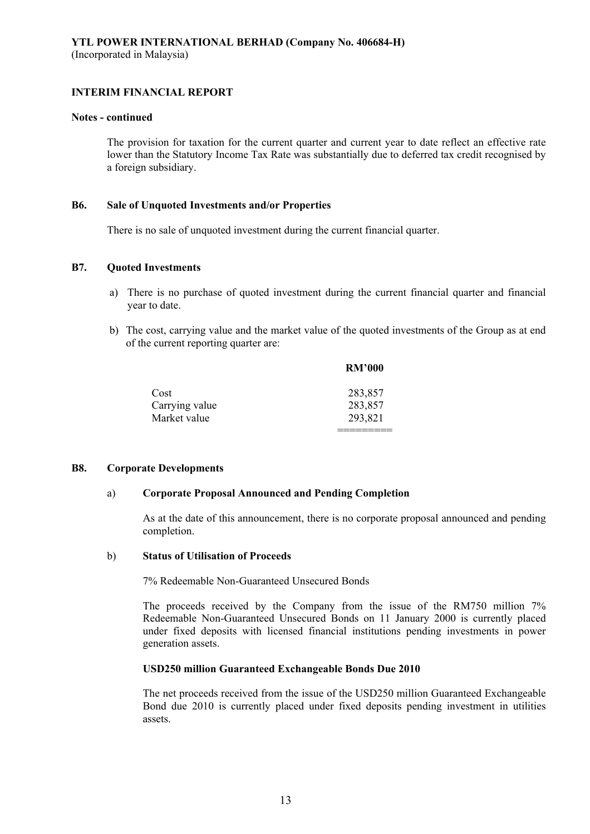#### **Notes - continued**

The provision for taxation for the current quarter and current year to date reflect an effective rate lower than the Statutory Income Tax Rate was substantially due to deferred tax credit recognised by a foreign subsidiary.

#### **B6. Sale of Unquoted Investments and/or Properties**

There is no sale of unquoted investment during the current financial quarter.

#### **B7. Quoted Investments**

- a) There is no purchase of quoted investment during the current financial quarter and financial year to date.
- b) The cost, carrying value and the market value of the quoted investments of the Group as at end of the current reporting quarter are:

|                | <b>RM'000</b> |
|----------------|---------------|
| Cost           | 283,857       |
| Carrying value | 283,857       |
| Market value   | 293,821       |

#### **B8. Corporate Developments**

#### a) **Corporate Proposal Announced and Pending Completion**

=========

 As at the date of this announcement, there is no corporate proposal announced and pending completion.

#### b) **Status of Utilisation of Proceeds**

7% Redeemable Non-Guaranteed Unsecured Bonds

 The proceeds received by the Company from the issue of the RM750 million 7% Redeemable Non-Guaranteed Unsecured Bonds on 11 January 2000 is currently placed under fixed deposits with licensed financial institutions pending investments in power generation assets.

#### **USD250 million Guaranteed Exchangeable Bonds Due 2010**

The net proceeds received from the issue of the USD250 million Guaranteed Exchangeable Bond due 2010 is currently placed under fixed deposits pending investment in utilities assets.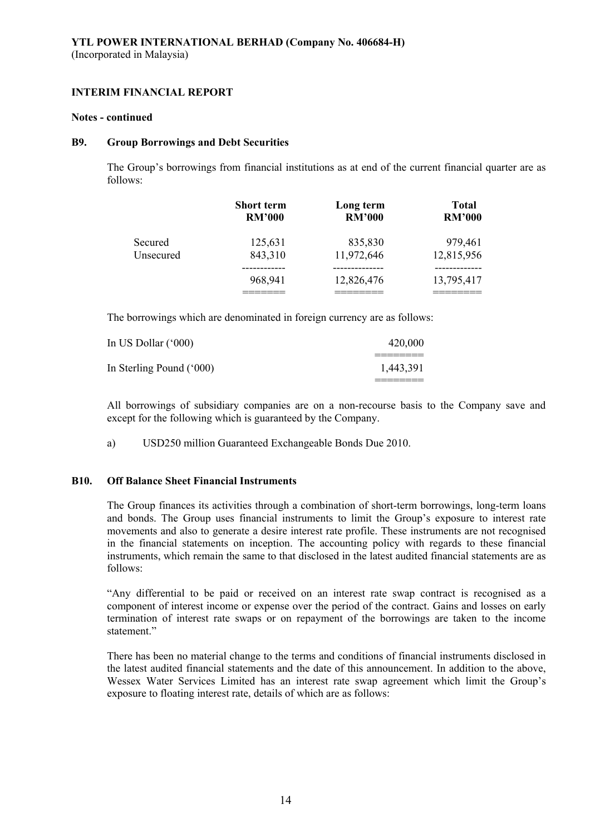#### **Notes - continued**

#### **B9. Group Borrowings and Debt Securities**

 The Group's borrowings from financial institutions as at end of the current financial quarter are as follows:

|           | <b>Short term</b><br><b>RM'000</b> | Long term<br><b>RM'000</b> | <b>Total</b><br><b>RM'000</b> |
|-----------|------------------------------------|----------------------------|-------------------------------|
| Secured   | 125,631                            | 835,830                    | 979,461                       |
| Unsecured | 843,310                            | 11,972,646                 | 12,815,956                    |
|           | 968,941                            | 12,826,476                 | 13,795,417                    |
|           |                                    |                            |                               |

The borrowings which are denominated in foreign currency are as follows:

| In US Dollar $(600)$     | 420,000   |
|--------------------------|-----------|
| In Sterling Pound ('000) | 1,443,391 |
|                          |           |

All borrowings of subsidiary companies are on a non-recourse basis to the Company save and except for the following which is guaranteed by the Company.

a) USD250 million Guaranteed Exchangeable Bonds Due 2010.

### **B10. Off Balance Sheet Financial Instruments**

 The Group finances its activities through a combination of short-term borrowings, long-term loans and bonds. The Group uses financial instruments to limit the Group's exposure to interest rate movements and also to generate a desire interest rate profile. These instruments are not recognised in the financial statements on inception. The accounting policy with regards to these financial instruments, which remain the same to that disclosed in the latest audited financial statements are as follows:

 "Any differential to be paid or received on an interest rate swap contract is recognised as a component of interest income or expense over the period of the contract. Gains and losses on early termination of interest rate swaps or on repayment of the borrowings are taken to the income statement."

 There has been no material change to the terms and conditions of financial instruments disclosed in the latest audited financial statements and the date of this announcement. In addition to the above, Wessex Water Services Limited has an interest rate swap agreement which limit the Group's exposure to floating interest rate, details of which are as follows: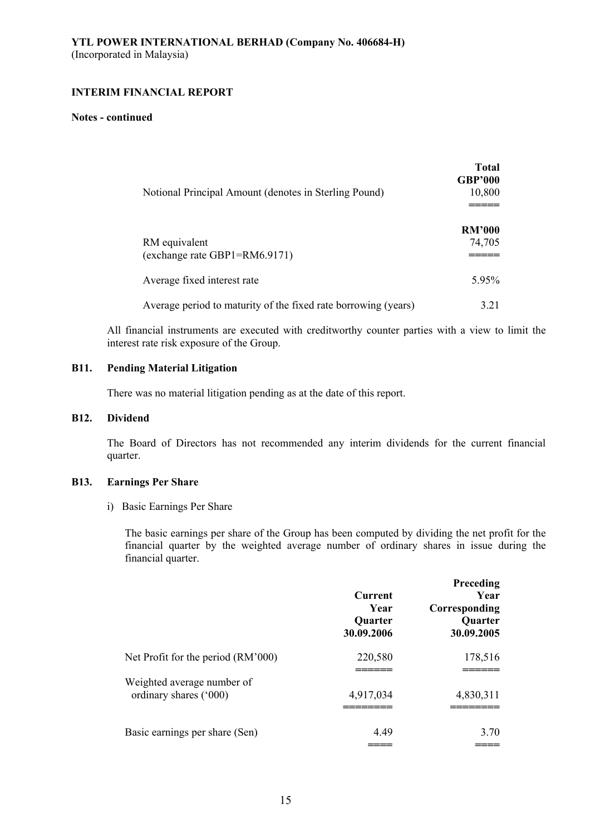#### **Notes - continued**

|                                                                | <b>Total</b><br><b>GBP'000</b> |
|----------------------------------------------------------------|--------------------------------|
| Notional Principal Amount (denotes in Sterling Pound)          | 10,800                         |
|                                                                | <b>RM'000</b>                  |
| RM equivalent<br>(exchange rate GBP1=RM6.9171)                 | 74,705                         |
| Average fixed interest rate                                    | $5.95\%$                       |
| Average period to maturity of the fixed rate borrowing (years) | 3 2 1                          |

All financial instruments are executed with creditworthy counter parties with a view to limit the interest rate risk exposure of the Group.

### **B11. Pending Material Litigation**

There was no material litigation pending as at the date of this report.

## **B12. Dividend**

 The Board of Directors has not recommended any interim dividends for the current financial quarter.

### **B13. Earnings Per Share**

i) Basic Earnings Per Share

The basic earnings per share of the Group has been computed by dividing the net profit for the financial quarter by the weighted average number of ordinary shares in issue during the financial quarter.

|                                                      | <b>Current</b><br>Year<br>Quarter<br>30.09.2006 | Preceding<br>Year<br>Corresponding<br><b>Quarter</b><br>30.09.2005 |
|------------------------------------------------------|-------------------------------------------------|--------------------------------------------------------------------|
| Net Profit for the period (RM'000)                   | 220,580                                         | 178,516                                                            |
| Weighted average number of<br>ordinary shares ('000) | 4,917,034                                       | 4,830,311                                                          |
| Basic earnings per share (Sen)                       | 4.49                                            | 3.70                                                               |